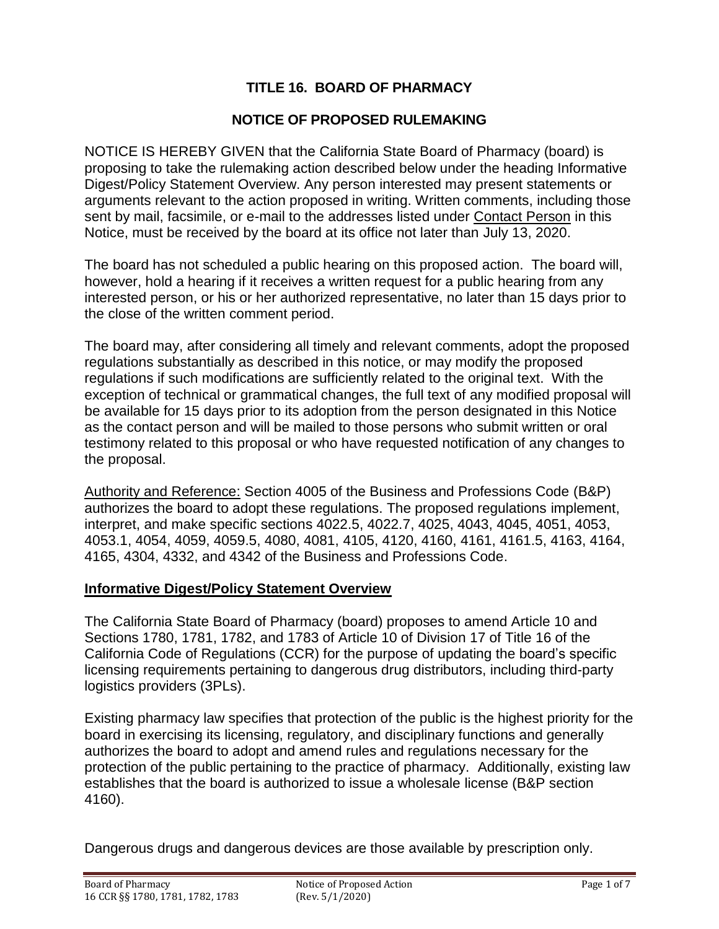# **TITLE 16. BOARD OF PHARMACY**

### **NOTICE OF PROPOSED RULEMAKING**

NOTICE IS HEREBY GIVEN that the California State Board of Pharmacy (board) is proposing to take the rulemaking action described below under the heading Informative Digest/Policy Statement Overview. Any person interested may present statements or arguments relevant to the action proposed in writing. Written comments, including those sent by mail, facsimile, or e-mail to the addresses listed under Contact Person in this Notice, must be received by the board at its office not later than July 13, 2020.

The board has not scheduled a public hearing on this proposed action. The board will, however, hold a hearing if it receives a written request for a public hearing from any interested person, or his or her authorized representative, no later than 15 days prior to the close of the written comment period.

The board may, after considering all timely and relevant comments, adopt the proposed regulations substantially as described in this notice, or may modify the proposed regulations if such modifications are sufficiently related to the original text. With the exception of technical or grammatical changes, the full text of any modified proposal will be available for 15 days prior to its adoption from the person designated in this Notice as the contact person and will be mailed to those persons who submit written or oral testimony related to this proposal or who have requested notification of any changes to the proposal.

Authority and Reference: Section 4005 of the Business and Professions Code (B&P) authorizes the board to adopt these regulations. The proposed regulations implement, interpret, and make specific sections 4022.5, 4022.7, 4025, 4043, 4045, 4051, 4053, 4053.1, 4054, 4059, 4059.5, 4080, 4081, 4105, 4120, 4160, 4161, 4161.5, 4163, 4164, 4165, 4304, 4332, and 4342 of the Business and Professions Code.

#### **Informative Digest/Policy Statement Overview**

The California State Board of Pharmacy (board) proposes to amend Article 10 and Sections 1780, 1781, 1782, and 1783 of Article 10 of Division 17 of Title 16 of the California Code of Regulations (CCR) for the purpose of updating the board's specific licensing requirements pertaining to dangerous drug distributors, including third-party logistics providers (3PLs).

Existing pharmacy law specifies that protection of the public is the highest priority for the board in exercising its licensing, regulatory, and disciplinary functions and generally authorizes the board to adopt and amend rules and regulations necessary for the protection of the public pertaining to the practice of pharmacy. Additionally, existing law establishes that the board is authorized to issue a wholesale license (B&P section 4160).

Dangerous drugs and dangerous devices are those available by prescription only.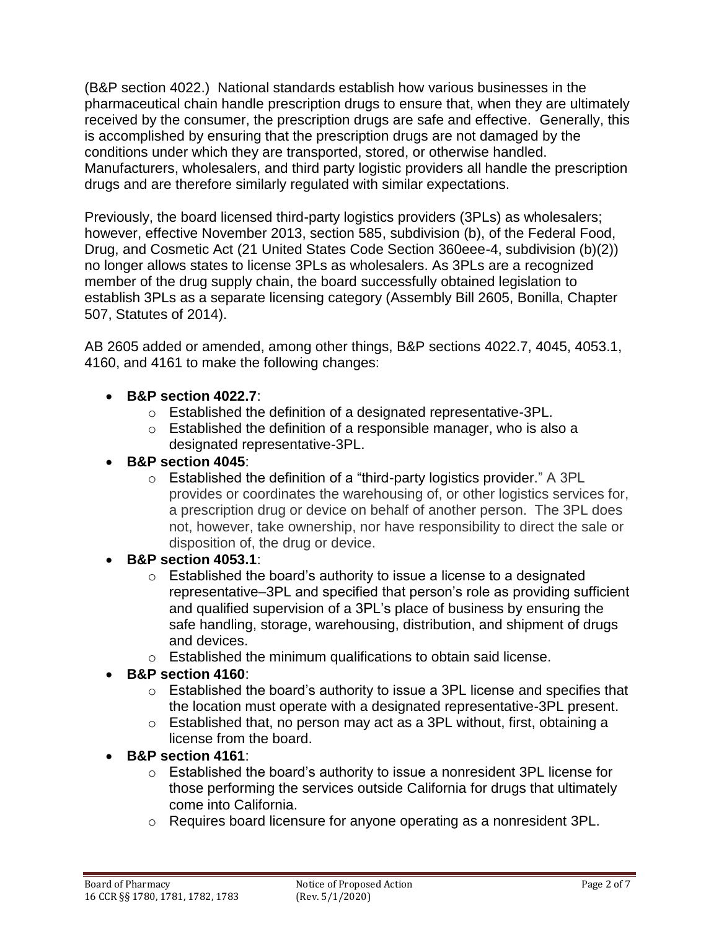(B&P section 4022.) National standards establish how various businesses in the pharmaceutical chain handle prescription drugs to ensure that, when they are ultimately received by the consumer, the prescription drugs are safe and effective. Generally, this is accomplished by ensuring that the prescription drugs are not damaged by the conditions under which they are transported, stored, or otherwise handled. Manufacturers, wholesalers, and third party logistic providers all handle the prescription drugs and are therefore similarly regulated with similar expectations.

Previously, the board licensed third-party logistics providers (3PLs) as wholesalers; however, effective November 2013, section 585, subdivision (b), of the Federal Food, Drug, and Cosmetic Act (21 United States Code Section 360eee-4, subdivision (b)(2)) no longer allows states to license 3PLs as wholesalers. As 3PLs are a recognized member of the drug supply chain, the board successfully obtained legislation to establish 3PLs as a separate licensing category (Assembly Bill 2605, Bonilla, Chapter 507, Statutes of 2014).

AB 2605 added or amended, among other things, B&P sections 4022.7, 4045, 4053.1, 4160, and 4161 to make the following changes:

- **B&P section 4022.7**:
	- o Established the definition of a designated representative-3PL.
	- $\circ$  Established the definition of a responsible manager, who is also a designated representative-3PL.
- **B&P section 4045**:
	- o Established the definition of a "third-party logistics provider." A 3PL provides or coordinates the warehousing of, or other logistics services for, a prescription drug or device on behalf of another person. The 3PL does not, however, take ownership, nor have responsibility to direct the sale or disposition of, the drug or device.
- **B&P section 4053.1**:
	- $\circ$  Established the board's authority to issue a license to a designated representative–3PL and specified that person's role as providing sufficient and qualified supervision of a 3PL's place of business by ensuring the safe handling, storage, warehousing, distribution, and shipment of drugs and devices.
	- o Established the minimum qualifications to obtain said license.
- **B&P section 4160**:
	- o Established the board's authority to issue a 3PL license and specifies that the location must operate with a designated representative-3PL present.
	- o Established that, no person may act as a 3PL without, first, obtaining a license from the board.

## • **B&P section 4161**:

- o Established the board's authority to issue a nonresident 3PL license for those performing the services outside California for drugs that ultimately come into California.
- $\circ$  Requires board licensure for anyone operating as a nonresident 3PL.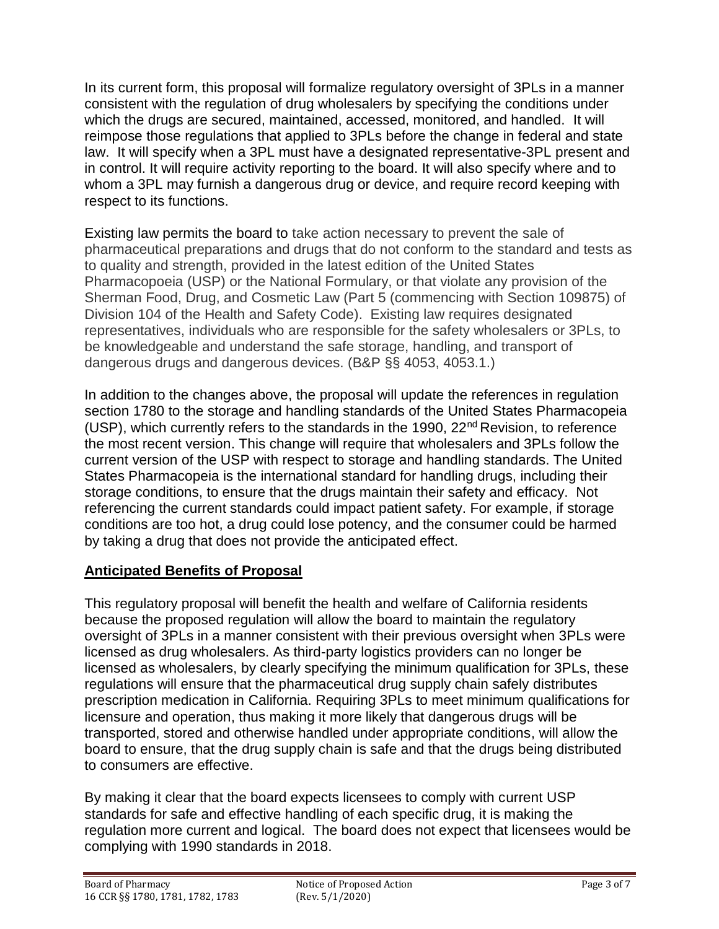In its current form, this proposal will formalize regulatory oversight of 3PLs in a manner consistent with the regulation of drug wholesalers by specifying the conditions under which the drugs are secured, maintained, accessed, monitored, and handled. It will reimpose those regulations that applied to 3PLs before the change in federal and state law. It will specify when a 3PL must have a designated representative-3PL present and in control. It will require activity reporting to the board. It will also specify where and to whom a 3PL may furnish a dangerous drug or device, and require record keeping with respect to its functions.

Existing law permits the board to take action necessary to prevent the sale of pharmaceutical preparations and drugs that do not conform to the standard and tests as to quality and strength, provided in the latest edition of the United States Pharmacopoeia (USP) or the National Formulary, or that violate any provision of the Sherman Food, Drug, and Cosmetic Law (Part 5 (commencing with Section 109875) of Division 104 of the Health and Safety Code). Existing law requires designated representatives, individuals who are responsible for the safety wholesalers or 3PLs, to be knowledgeable and understand the safe storage, handling, and transport of dangerous drugs and dangerous devices. (B&P §§ 4053, 4053.1.)

In addition to the changes above, the proposal will update the references in regulation section 1780 to the storage and handling standards of the United States Pharmacopeia (USP), which currently refers to the standards in the 1990,  $22<sup>nd</sup>$  Revision, to reference the most recent version. This change will require that wholesalers and 3PLs follow the current version of the USP with respect to storage and handling standards. The United States Pharmacopeia is the international standard for handling drugs, including their storage conditions, to ensure that the drugs maintain their safety and efficacy. Not referencing the current standards could impact patient safety. For example, if storage conditions are too hot, a drug could lose potency, and the consumer could be harmed by taking a drug that does not provide the anticipated effect.

## **Anticipated Benefits of Proposal**

This regulatory proposal will benefit the health and welfare of California residents because the proposed regulation will allow the board to maintain the regulatory oversight of 3PLs in a manner consistent with their previous oversight when 3PLs were licensed as drug wholesalers. As third-party logistics providers can no longer be licensed as wholesalers, by clearly specifying the minimum qualification for 3PLs, these regulations will ensure that the pharmaceutical drug supply chain safely distributes prescription medication in California. Requiring 3PLs to meet minimum qualifications for licensure and operation, thus making it more likely that dangerous drugs will be transported, stored and otherwise handled under appropriate conditions, will allow the board to ensure, that the drug supply chain is safe and that the drugs being distributed to consumers are effective.

By making it clear that the board expects licensees to comply with current USP standards for safe and effective handling of each specific drug, it is making the regulation more current and logical. The board does not expect that licensees would be complying with 1990 standards in 2018.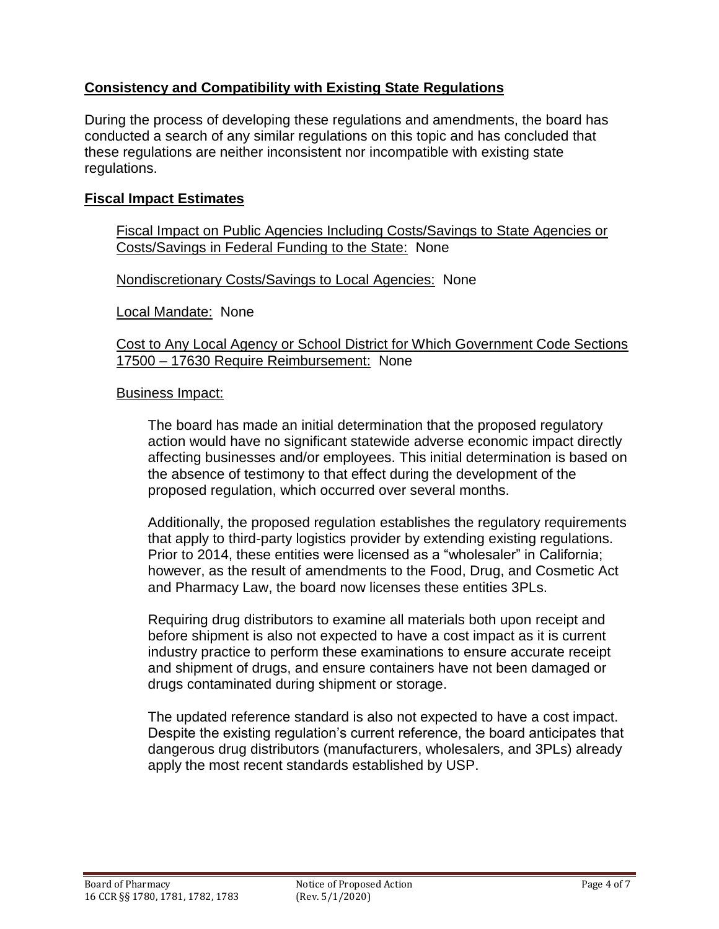## **Consistency and Compatibility with Existing State Regulations**

During the process of developing these regulations and amendments, the board has conducted a search of any similar regulations on this topic and has concluded that these regulations are neither inconsistent nor incompatible with existing state regulations.

### **Fiscal Impact Estimates**

Fiscal Impact on Public Agencies Including Costs/Savings to State Agencies or Costs/Savings in Federal Funding to the State: None

Nondiscretionary Costs/Savings to Local Agencies: None

Local Mandate: None

Cost to Any Local Agency or School District for Which Government Code Sections 17500 – 17630 Require Reimbursement: None

#### Business Impact:

The board has made an initial determination that the proposed regulatory action would have no significant statewide adverse economic impact directly affecting businesses and/or employees. This initial determination is based on the absence of testimony to that effect during the development of the proposed regulation, which occurred over several months.

Additionally, the proposed regulation establishes the regulatory requirements that apply to third-party logistics provider by extending existing regulations. Prior to 2014, these entities were licensed as a "wholesaler" in California; however, as the result of amendments to the Food, Drug, and Cosmetic Act and Pharmacy Law, the board now licenses these entities 3PLs.

Requiring drug distributors to examine all materials both upon receipt and before shipment is also not expected to have a cost impact as it is current industry practice to perform these examinations to ensure accurate receipt and shipment of drugs, and ensure containers have not been damaged or drugs contaminated during shipment or storage.

The updated reference standard is also not expected to have a cost impact. Despite the existing regulation's current reference, the board anticipates that dangerous drug distributors (manufacturers, wholesalers, and 3PLs) already apply the most recent standards established by USP.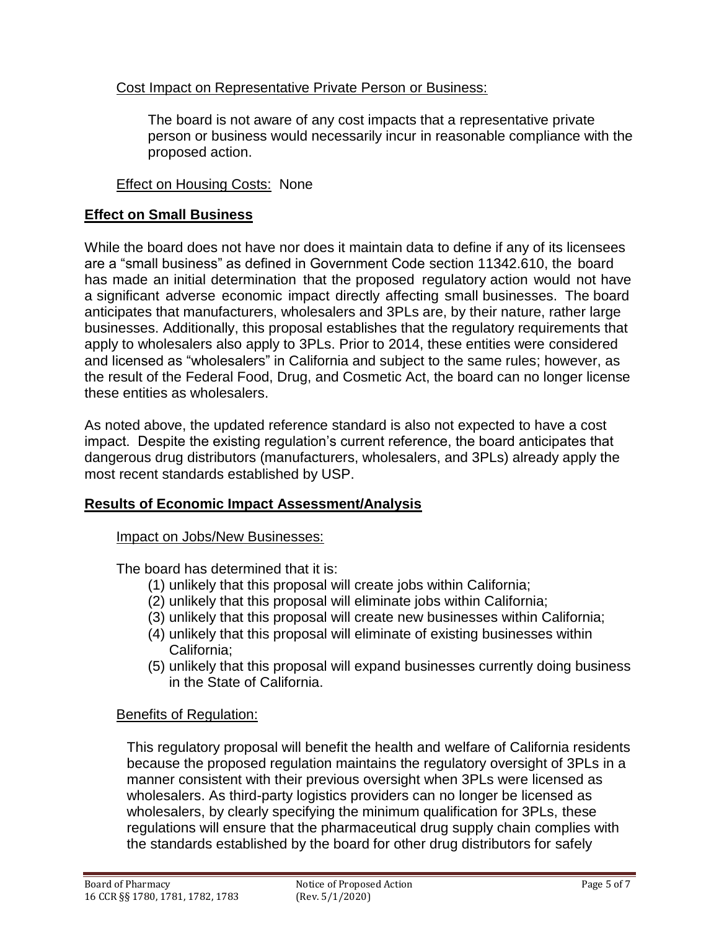## Cost Impact on Representative Private Person or Business:

The board is not aware of any cost impacts that a representative private person or business would necessarily incur in reasonable compliance with the proposed action.

Effect on Housing Costs: None

### **Effect on Small Business**

While the board does not have nor does it maintain data to define if any of its licensees are a "small business" as defined in Government Code section 11342.610, the board has made an initial determination that the proposed regulatory action would not have a significant adverse economic impact directly affecting small businesses. The board anticipates that manufacturers, wholesalers and 3PLs are, by their nature, rather large businesses. Additionally, this proposal establishes that the regulatory requirements that apply to wholesalers also apply to 3PLs. Prior to 2014, these entities were considered and licensed as "wholesalers" in California and subject to the same rules; however, as the result of the Federal Food, Drug, and Cosmetic Act, the board can no longer license these entities as wholesalers.

As noted above, the updated reference standard is also not expected to have a cost impact. Despite the existing regulation's current reference, the board anticipates that dangerous drug distributors (manufacturers, wholesalers, and 3PLs) already apply the most recent standards established by USP.

#### **Results of Economic Impact Assessment/Analysis**

#### Impact on Jobs/New Businesses:

The board has determined that it is:

- (1) unlikely that this proposal will create jobs within California;
- (2) unlikely that this proposal will eliminate jobs within California;
- (3) unlikely that this proposal will create new businesses within California;
- (4) unlikely that this proposal will eliminate of existing businesses within California;
- (5) unlikely that this proposal will expand businesses currently doing business in the State of California.

## Benefits of Regulation:

This regulatory proposal will benefit the health and welfare of California residents because the proposed regulation maintains the regulatory oversight of 3PLs in a manner consistent with their previous oversight when 3PLs were licensed as wholesalers. As third-party logistics providers can no longer be licensed as wholesalers, by clearly specifying the minimum qualification for 3PLs, these regulations will ensure that the pharmaceutical drug supply chain complies with the standards established by the board for other drug distributors for safely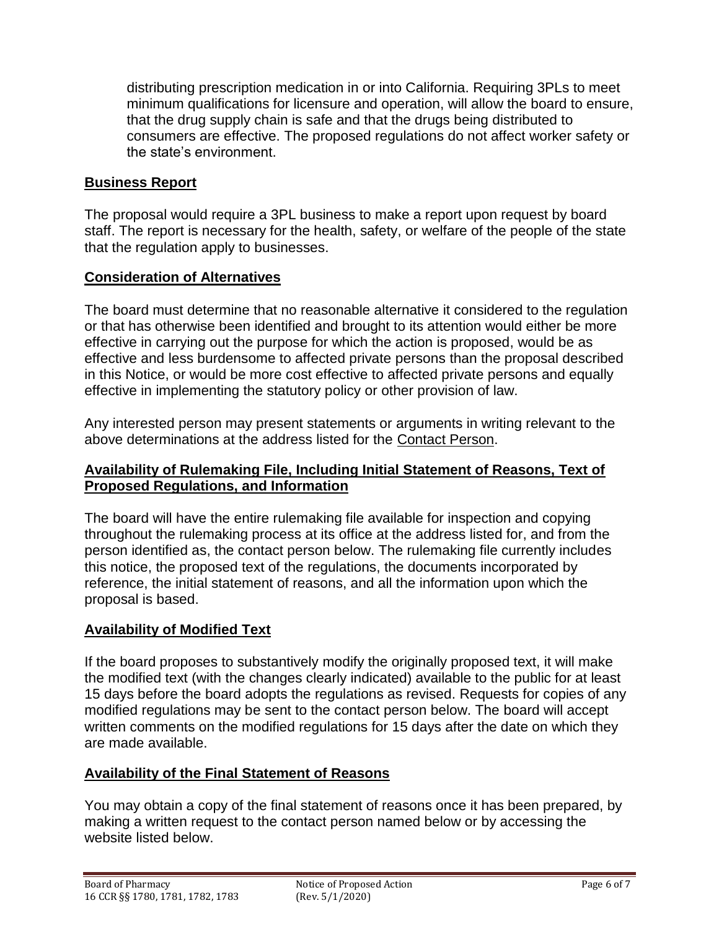distributing prescription medication in or into California. Requiring 3PLs to meet minimum qualifications for licensure and operation, will allow the board to ensure, that the drug supply chain is safe and that the drugs being distributed to consumers are effective. The proposed regulations do not affect worker safety or the state's environment.

## **Business Report**

The proposal would require a 3PL business to make a report upon request by board staff. The report is necessary for the health, safety, or welfare of the people of the state that the regulation apply to businesses.

## **Consideration of Alternatives**

The board must determine that no reasonable alternative it considered to the regulation or that has otherwise been identified and brought to its attention would either be more effective in carrying out the purpose for which the action is proposed, would be as effective and less burdensome to affected private persons than the proposal described in this Notice, or would be more cost effective to affected private persons and equally effective in implementing the statutory policy or other provision of law.

Any interested person may present statements or arguments in writing relevant to the above determinations at the address listed for the Contact Person.

## **Availability of Rulemaking File, Including Initial Statement of Reasons, Text of Proposed Regulations, and Information**

The board will have the entire rulemaking file available for inspection and copying throughout the rulemaking process at its office at the address listed for, and from the person identified as, the contact person below. The rulemaking file currently includes this notice, the proposed text of the regulations, the documents incorporated by reference, the initial statement of reasons, and all the information upon which the proposal is based.

## **Availability of Modified Text**

If the board proposes to substantively modify the originally proposed text, it will make the modified text (with the changes clearly indicated) available to the public for at least 15 days before the board adopts the regulations as revised. Requests for copies of any modified regulations may be sent to the contact person below. The board will accept written comments on the modified regulations for 15 days after the date on which they are made available.

## **Availability of the Final Statement of Reasons**

You may obtain a copy of the final statement of reasons once it has been prepared, by making a written request to the contact person named below or by accessing the website listed below.